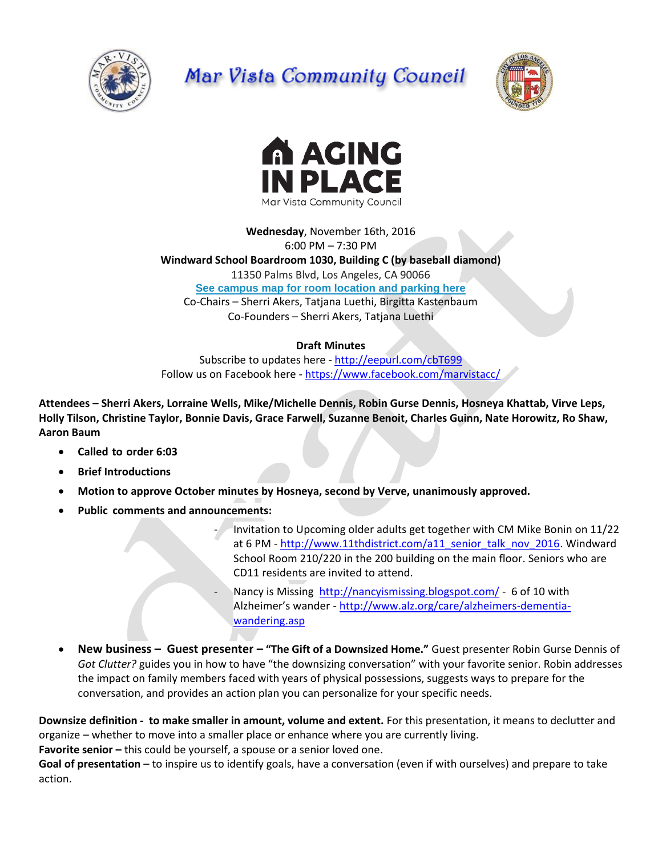

# Mar Vista Community Council





**Wednesday**, November 16th, 2016 6:00 PM – 7:30 PM **Windward School Boardroom 1030, Building C (by baseball diamond)** 11350 Palms Blvd, Los Angeles, CA 90066 **[See campus map for room location and parking here](https://windwardschool.myschoolapp.com/ftpimages/176/download/download_1671327.pdf)** Co-Chairs – Sherri Akers, Tatjana Luethi, Birgitta Kastenbaum Co-Founders – Sherri Akers, Tatjana Luethi

# **Draft Minutes**

Subscribe to updates here - <http://eepurl.com/cbT699> Follow us on Facebook here - <https://www.facebook.com/marvistacc/>

**Attendees – Sherri Akers, Lorraine Wells, Mike/Michelle Dennis, Robin Gurse Dennis, Hosneya Khattab, Virve Leps, Holly Tilson, Christine Taylor, Bonnie Davis, Grace Farwell, Suzanne Benoit, Charles Guinn, Nate Horowitz, Ro Shaw, Aaron Baum**

- **Called to order 6:03**
- **Brief Introductions**
- **Motion to approve October minutes by Hosneya, second by Verve, unanimously approved.**
- **Public comments and announcements:** 
	- Invitation to Upcoming older adults get together with CM Mike Bonin on 11/22 at 6 PM - [http://www.11thdistrict.com/a11\\_senior\\_talk\\_nov\\_2016.](http://www.11thdistrict.com/a11_senior_talk_nov_2016) Windward School Room 210/220 in the 200 building on the main floor. Seniors who are CD11 residents are invited to attend.
	- Nancy is Missing <http://nancyismissing.blogspot.com/> 6 of 10 with Alzheimer's wander - [http://www.alz.org/care/alzheimers-dementia](http://www.alz.org/care/alzheimers-dementia-wandering.asp)[wandering.asp](http://www.alz.org/care/alzheimers-dementia-wandering.asp)
- **New business – Guest presenter – "The Gift of a Downsized Home."** Guest presenter Robin Gurse Dennis of *Got Clutter?* guides you in how to have "the downsizing conversation" with your favorite senior. Robin addresses the impact on family members faced with years of physical possessions, suggests ways to prepare for the conversation, and provides an action plan you can personalize for your specific needs.

**Downsize definition - to make smaller in amount, volume and extent.** For this presentation, it means to declutter and organize – whether to move into a smaller place or enhance where you are currently living.

**Favorite senior –** this could be yourself, a spouse or a senior loved one.

**Goal of presentation** – to inspire us to identify goals, have a conversation (even if with ourselves) and prepare to take action.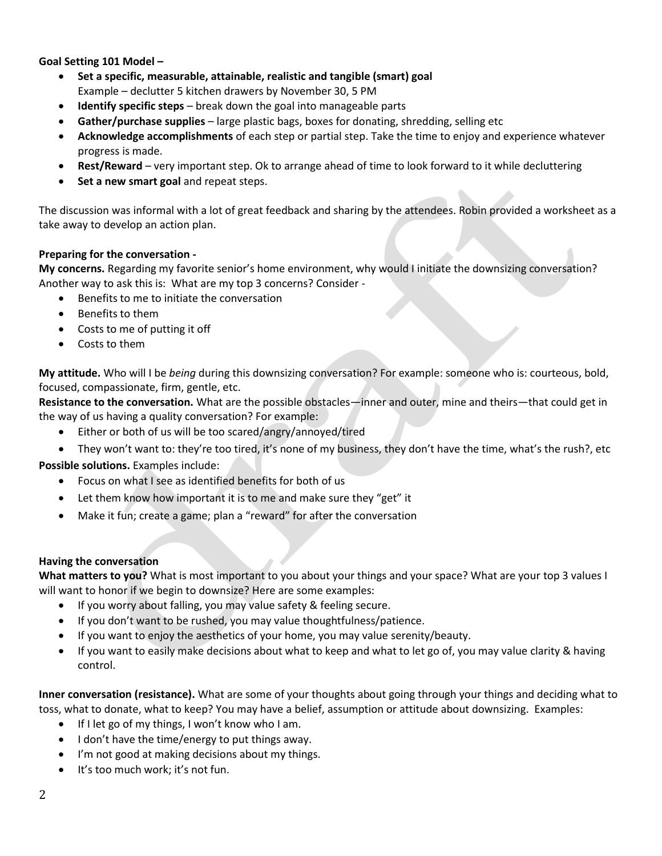## **Goal Setting 101 Model –**

- **Set a specific, measurable, attainable, realistic and tangible (smart) goal**  Example – declutter 5 kitchen drawers by November 30, 5 PM
- **Identify specific steps** break down the goal into manageable parts
- **Gather/purchase supplies** large plastic bags, boxes for donating, shredding, selling etc
- **Acknowledge accomplishments** of each step or partial step. Take the time to enjoy and experience whatever progress is made.
- **Rest/Reward** very important step. Ok to arrange ahead of time to look forward to it while decluttering
- **Set a new smart goal** and repeat steps.

The discussion was informal with a lot of great feedback and sharing by the attendees. Robin provided a worksheet as a take away to develop an action plan.

#### **Preparing for the conversation -**

**My concerns.** Regarding my favorite senior's home environment, why would I initiate the downsizing conversation? Another way to ask this is: What are my top 3 concerns? Consider -

- Benefits to me to initiate the conversation
- Benefits to them
- Costs to me of putting it off
- Costs to them

**My attitude.** Who will I be *being* during this downsizing conversation? For example: someone who is: courteous, bold, focused, compassionate, firm, gentle, etc.

**Resistance to the conversation.** What are the possible obstacles—inner and outer, mine and theirs—that could get in the way of us having a quality conversation? For example:

- Either or both of us will be too scared/angry/annoyed/tired
- They won't want to: they're too tired, it's none of my business, they don't have the time, what's the rush?, etc

**Possible solutions.** Examples include:

- Focus on what I see as identified benefits for both of us
- Let them know how important it is to me and make sure they "get" it
- Make it fun; create a game; plan a "reward" for after the conversation

#### **Having the conversation**

**What matters to you?** What is most important to you about your things and your space? What are your top 3 values I will want to honor if we begin to downsize? Here are some examples:

- If you worry about falling, you may value safety & feeling secure.
- If you don't want to be rushed, you may value thoughtfulness/patience.
- If you want to enjoy the aesthetics of your home, you may value serenity/beauty.
- If you want to easily make decisions about what to keep and what to let go of, you may value clarity & having control.

**Inner conversation (resistance).** What are some of your thoughts about going through your things and deciding what to toss, what to donate, what to keep? You may have a belief, assumption or attitude about downsizing. Examples:

- If I let go of my things, I won't know who I am.
- $\bullet$  I don't have the time/energy to put things away.
- I'm not good at making decisions about my things.
- It's too much work; it's not fun.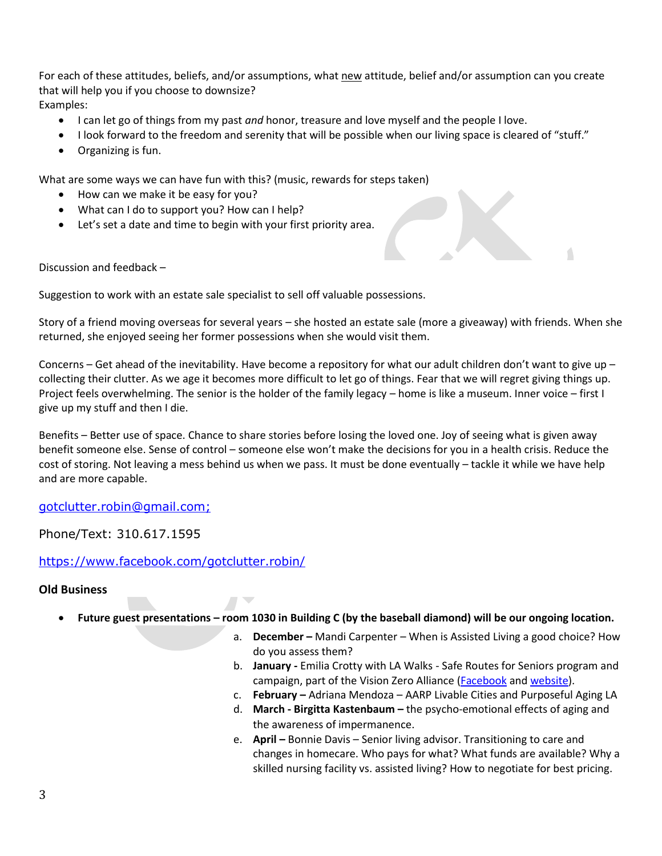For each of these attitudes, beliefs, and/or assumptions, what new attitude, belief and/or assumption can you create that will help you if you choose to downsize? Examples:

- I can let go of things from my past *and* honor, treasure and love myself and the people I love.
- I look forward to the freedom and serenity that will be possible when our living space is cleared of "stuff."
- Organizing is fun.

What are some ways we can have fun with this? (music, rewards for steps taken)

- How can we make it be easy for you?
- What can I do to support you? How can I help?
- Let's set a date and time to begin with your first priority area.

Discussion and feedback –

Suggestion to work with an estate sale specialist to sell off valuable possessions.

Story of a friend moving overseas for several years – she hosted an estate sale (more a giveaway) with friends. When she returned, she enjoyed seeing her former possessions when she would visit them.

Concerns – Get ahead of the inevitability. Have become a repository for what our adult children don't want to give up – collecting their clutter. As we age it becomes more difficult to let go of things. Fear that we will regret giving things up. Project feels overwhelming. The senior is the holder of the family legacy – home is like a museum. Inner voice – first I give up my stuff and then I die.

Benefits – Better use of space. Chance to share stories before losing the loved one. Joy of seeing what is given away benefit someone else. Sense of control – someone else won't make the decisions for you in a health crisis. Reduce the cost of storing. Not leaving a mess behind us when we pass. It must be done eventually – tackle it while we have help and are more capable.

#### [gotclutter.robin@gmail.com;](mailto:gotclutter.robin@gmail.com)

Phone/Text: 310.617.1595

<https://www.facebook.com/gotclutter.robin/>

#### **Old Business**

- **Future guest presentations – room 1030 in Building C (by the baseball diamond) will be our ongoing location.**
	- a. **December –** Mandi Carpenter When is Assisted Living a good choice? How do you assess them?
	- b. **January -** Emilia Crotty with LA Walks Safe Routes for Seniors program and campaign, part of the Vision Zero Alliance [\(Facebook](https://www.facebook.com/LAvisionzero/photos) an[d website\)](http://www.visionzeroalliance.org/).
	- c. **February –** Adriana Mendoza AARP Livable Cities and Purposeful Aging LA
	- d. **March - Birgitta Kastenbaum –** the psycho-emotional effects of aging and the awareness of impermanence.
	- e. **April –** Bonnie Davis Senior living advisor. Transitioning to care and changes in homecare. Who pays for what? What funds are available? Why a skilled nursing facility vs. assisted living? How to negotiate for best pricing.